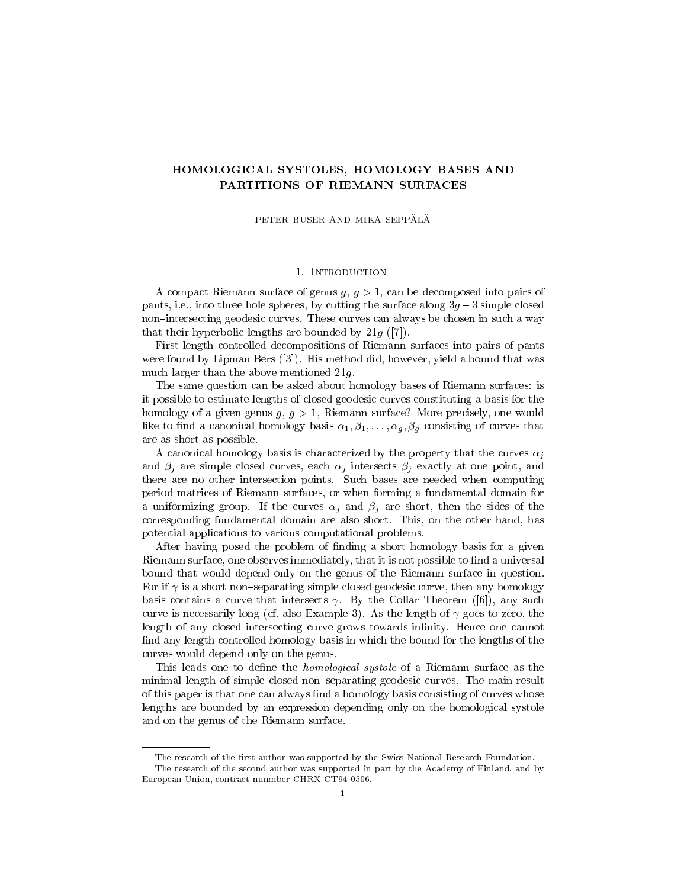# HOMOLOGICAL SYSTOLES, HOMOLOGY BASES AND PARTITIONS OF RIEMANN SURFACES

PETER BUSER AND MIKA SEPPÄLÄ

# 1. Introduction

A compact Riemann surface of genus  $q, q > 1$ , can be decomposed into pairs of pants, i.e., into three hole spheres, by cutting the surface along 3g 3 simple closed non-intersecting geodesic curves. These curves can always be chosen in such a way that their hyperbolic lengths are bounded by  $21g$  ([7]).

First length controlled decompositions of Riemann surfaces into pairs of pants were found by Lipman Bers ([3]). His method did, however, yield a bound that was much larger than the above mentioned 21g.

The same question can be asked about homology bases of Riemann surfaces: is it possible to estimate lengths of closed geodesic curves constituting a basis for the homology of a given genus  $g, g > 1$ , Riemann surface? More precisely, one would like to find a canonical homology basis  $\alpha_1, \beta_1, \ldots, \alpha_g, \beta_g$  consisting of curves that are as short as possible.

A canonical homology basis is characterized by the property that the curves  $\alpha_i$ and in the simple contract curves, each still intersect of the simple at one point, and intersect at  $\sim$ there are no other intersection points. Such bases are needed when computing period matrices of Riemann surfaces, or when forming a fundamental domain for a uniformizing group. If the curves in the sides  $\mu$  are short, the short the short of the sides corresponding fundamental domain are also short. This, on the other hand, has potential applications to various computational problems.

After having posed the problem of finding a short homology basis for a given Riemann surface, one observes immediately, that it is not possible to find a universal bound that would depend only on the genus of the Riemann surface in question. For if  $\gamma$  is a short non-separating simple closed geodesic curve, then any homology basis contains a curve that intersects  $\gamma$ . By the Collar Theorem ([6]), any such curve is necessarily long (cf. also Example 3). As the length of  $\gamma$  goes to zero, the length of any closed intersecting curve grows towards infinity. Hence one cannot find any length controlled homology basis in which the bound for the lengths of the curves would depend only on the genus.

This leads one to define the *homological systole* of a Riemann surface as the minimal length of simple closed non-separating geodesic curves. The main result of this paper is that one can always find a homology basis consisting of curves whose lengths are bounded by an expression depending only on the homological systole and on the genus of the Riemann surface.

The research of the first author was supported by the Swiss National Research Foundation.

The research of the second author was supported in part by the Academy of Finland, and by European Union, contract nunmber CHRX-CT94-0506.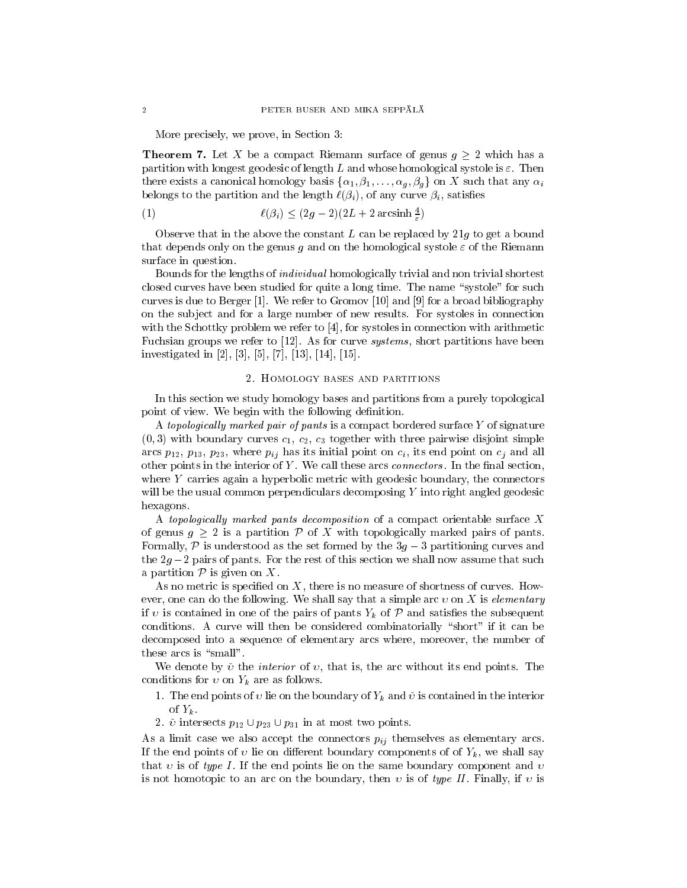More precisely, we prove, in Section 3:

The contract  $\alpha$  be acompact rise of acompact Riemann surface of  $\alpha$  acoust  $\beta$   $\alpha$  which has a acompact of  $\alpha$ partition with longest geodesic of length L and whose homological systole is  $\varepsilon$ . Then there exists a canonical homology basis  $\{\alpha_1,\beta_1,\ldots,\alpha_g,\beta_g\}$  on X such that any  $\alpha_i$ belongs to the partition and the length indicated  $\{f_i\}_{i=1}$  , or any curve  $\{f_i\}_{i=1}$ 

$$
\ell(\beta_i) \le (2g-2)(2L+2\arcsinh\left(\frac{4}{\varepsilon}\right))
$$

Observe that in the above the constant  $L$  can be replaced by  $21g$  to get a bound that depends only on the genus g and on the homological systole  $\varepsilon$  of the Riemann surface in question.

"

Bounds for the lengths of individual homologically trivial and non trivial shortest closed curves have been studied for quite a long time. The name "systole" for such curves is due to Berger [1]. We refer to Gromov [10] and [9] for a broad bibliography on the sub ject and for a large number of new results. For systoles in connection with the Schottky problem we refer to [4], for systoles in connection with arithmetic Fuchsian groups we refer to [12]. As for curve *systems*, short partitions have been investigated in [2], [3], [5], [7], [13], [14], [15].

#### 2. Homology bases and partitions

In this section we study homology bases and partitions from a purely topological point of view. We begin with the following definition.

A topologically marked pair of pants is a compact bordered surface  $Y$  of signature  $(0, 3)$  with boundary curves  $c_1, c_2, c_3$  together with three pairwise disjoint simple arcs  $p_{12}$ ,  $p_{13}$ ,  $p_{23}$ , where  $p_{ij}$  has its initial point on  $c_i$ , its end point on  $c_j$  and all other points in the interior of  $Y$ . We call these arcs *connectors*. In the final section, where  $Y$  carries again a hyperbolic metric with geodesic boundary, the connectors will be the usual common perpendiculars decomposing Y into right angled geodesic hexagons.

A topologically marked pants decomposition of a compact orientable surface  $X$ of genus  $g$   $\equiv$  is an order partition  $\ell$  with the pairs of partition  $\rho$  and pairs of pants. Formally, P is understood as the set formally the 3g  $\sim$  partitioning curves and 3 the  $\tau_{\beta}$  , for pairs of pairs of the rest of the rest of this section we shall now assume that such such such such such as  $\alpha$  partition  $\beta$  is given on  $\alpha$ .

As no metric is specified on  $X$ , there is no measure of shortness of curves. However, one can do the following. We shall say that a simple arc  $v$  on X is *elementary* if is contained in one of the pairs  $\alpha$  pants  $\alpha$  pants  $\alpha$   $\beta$  and  $\beta$  and satisfies the subsequently denoted conditions. A curve will then be considered combinatorially "short" if it can be decomposed into a sequence of elementary arcs where, moreover, the number of these arcs is "small".

We denote by  $\check{v}$  the *interior* of  $v$ , that is, the arc without its end points. The conditions for  $\sigma$  on  $\mathcal{L}_h$  are as follows.

- 1. The end points of lie on the boundary of Yk and is contained in the interior of  $Y_k$ .
- 2.  $\check{\nu}$  intersects  $p_{12} \cup p_{23} \cup p_{31}$  in at most two points.

As a limit case we also accept the connectors pij themselves as elementary arcs. If the end points of a lie on dierement boundary component at  $\mathcal{L}$  and  $\mathcal{L}$ that v is of type I. If the end points lie on the same boundary component and v is not homotopic to an arc on the boundary, then  $v$  is of type II. Finally, if  $v$  is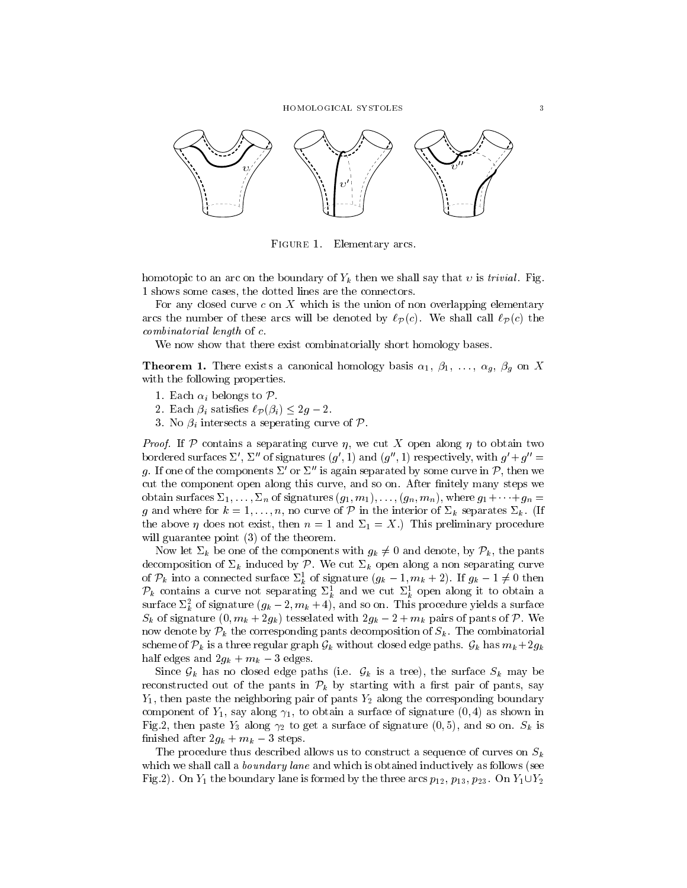

Figure 1. Elementary arcs.

homotopic to an arc on the boundary of Yk then we shall say the boundary that  $\alpha$ 1 shows some cases, the dotted lines are the connectors.

For any closed curve c on X which is the union of non overlapping elementary arcs the number of these arcs will be denoted by  $\ell_{\mathcal{P}}(c)$ . We shall call  $\ell_{\mathcal{P}}(c)$  the combinatorial length of c.

We now show that there exist combinatorially short homology bases.

**Theorem 1.** There exists a canonical homology basis  $\alpha_1, \beta_1, \ldots, \alpha_q, \beta_q$  on X with the following properties.

- 1. Each i belongs to <sup>P</sup>.
- $\mathbb{R}^n$  . Except the contract of  $\mathbb{R}^n$  (if  $\mathbb{R}^n$  )  $\mathbb{R}^n$  . Except the contract of  $\mathbb{R}^n$
- 3. No i intersects a seperating curve of <sup>P</sup>.

Proof. If P contains a separating curve ,we cut <sup>X</sup> open along to obtain two bordered surfaces  $\triangle$ ,  $\triangle$  of signatures  $(g, 1)$  and  $(g, 1)$  respectively, with  $g + g =$ g. If one of the components  $\varSigma$  or  $\varSigma$  is again separated by some curve in P, then we cut the component open along this curve, and so on. After finitely many steps we obtain surfaces  $\Sigma_1,\ldots,\Sigma_n$  of signatures  $(g_1,m_1),\ldots,(g_n,m_n)$ , where  $g_1+\cdots+g_n =$  $g$  and where for  $k = 1$ ;::; i.; n, and curve of  $P$  in the integration of  $\Rightarrow_k$  separates  $\Rightarrow_k$ . (If the above  $\eta$  does not exist, then  $n = 1$  and  $\Sigma_1 = X$ .) This preliminary procedure will guarantee point (3) of the theorem.

Now let  $\mu$  be one of the components with ga  $g_{\mu}$  , by  $\mu$  and  $\mu$  ,  $\mu$  ,  $\mu$  , the pants of decomposition of k induced by <sup>P</sup>. We cut k open along a non separating curve of  $\mathcal{P}_k$  into a connected surface  $\mathcal{Z}_k$  of signature  $(g_k - 1, m_k + 2)$ . If  $g_k - 1 \neq 0$  then  $\mathcal{P}_k$  contains a curve not separating  $\Sigma_k^1$  and we cut  $\Sigma_k^1$  open along it to obtain a surface  $\varSigma_k^-$  of signature  $(g_k-\varSigma,m_k+4),$  and so on. This procedure yields a surface  $S_k$  of signature (0,  $m_k + 2g_k$ ) tesserated with  $2g_k - 2 + m_k$  pairs of pairs of P. We now denote by Pk the corresponding pants decomposition of Sk . The combinatorial scheme of  $P$ k is a three regular graph Gk without closed edge paths. Gk has mk +2gk  $\sim$  $\frac{1}{2}$  edges and  $\frac{1}{2}$ gk +  $\cdots$ k  $\frac{1}{2}$  edges.

Since  $\{y_k\}$  is a tree close the surface paths (i.e.  $\{y_k\}$  is a tree), the surface Sk matrix  $\{y_k\}$ reconstructed out of the pants in <sup>P</sup><sup>k</sup> by starting with <sup>a</sup> rst pair of pants, say  $Y_1$ , then paste the neighboring pair of pants  $Y_2$  along the corresponding boundary component of  $Y_1$ , say along  $\gamma_1$ , to obtain a surface of signature  $(0, 4)$  as shown in Fig.2, then paste  $Y_3$  along  $\gamma_2$  to get a surface of signature  $(0,5)$ , and so on.  $S_k$  is  $n_{\text{max}} = 2$  steps.  $2 \times 2$  steps.

The procedure thus described allows us to construct a sequence of curves on  $S_k$ which we shall call a *boundary lane* and which is obtained inductively as follows (see Fig.2). On  $Y_1$  the boundary lane is formed by the three arcs  $p_{12}$ ,  $p_{13}$ ,  $p_{23}$ . On  $Y_1 \cup Y_2$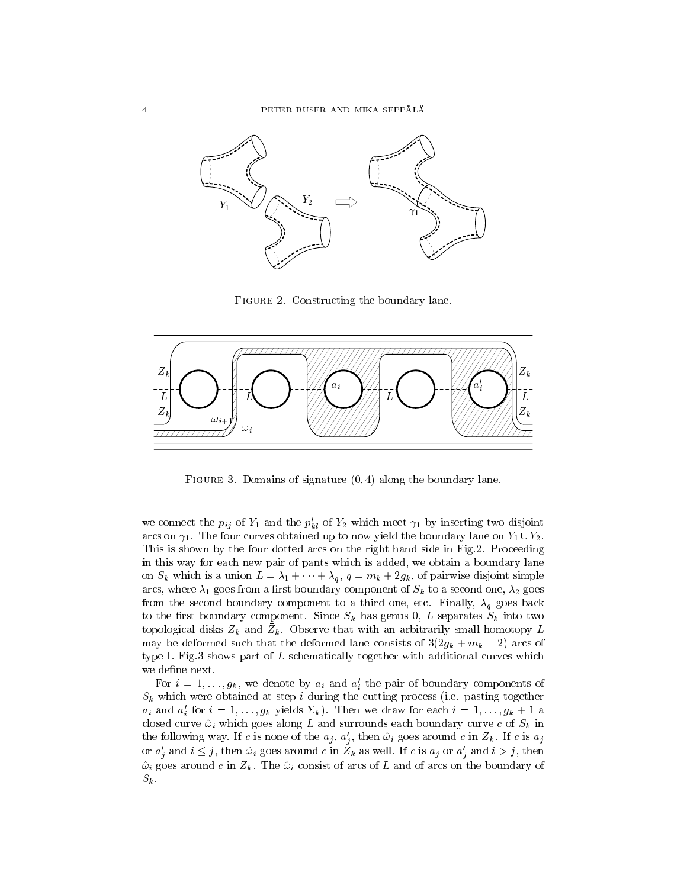

Figure 2. Constructing the boundary lane.



Figure 3. Domains of signature (0; 4) along the boundary lane.

we connect the  $p_{ij}$  of  $Y_1$  and the  $p_{kl}$  of  $Y_2$  which meet  $\gamma_1$  by inserting two disjoint arcs on  $\gamma_1$ . The four curves obtained up to now yield the boundary lane on  $Y_1 \cup Y_2$ . This is shown by the four dotted arcs on the right hand side in Fig.2. Proceeding in this way for each new pair of pants which is added, we obtain a boundary lane on Sk which is a union <sup>L</sup> <sup>=</sup> 1 <sup>+</sup> <sup>+</sup> q , <sup>q</sup> <sup>=</sup> mk + 2gk, of pairwise disjoint simple arcs, where  $\lambda_1$  goes from a first boundary component of  $S_k$  to a second one,  $\lambda_2$  goes from the second boundary component to a third one, etc. Finally, q goes back to the rst boundary component. Since Sk has genus 0, <sup>L</sup> separates Sk into two topological disks  $Z_k$  and  $Z_k$ . Observe that with an arbitrarily small homotopy  $L$ may be deformed such that the deformed distributed consists of  $\gamma_{\alpha}$  ,  $\gamma_{\alpha}$  ,  $\gamma_{\alpha}$  are so of type I. Fig.3 shows part of  $L$  schematically together with additional curves which we define next.

For  $i = 1, \ldots, g_k$ , we denote by  $a_i$  and  $a_j$  the pair of boundary components of  $S_{\rm{in}}$  which were obtained at step in during the cutting process (i.e. pasting) togethere.  $a_i$  and  $a_i$  for  $i = 1,\ldots,g_k$  yields  $\sum_k j$ . Then we draw for each  $i = 1,\ldots,g_k + 1$  a closed curve  $\mu$  which goes along L and surrounds each boundary currently curve c of Sk in Sk in the following way. If c is none of the  $a_j, a_j$ , then  $\omega_i$  goes around c in  $Z_k$ . If c is  $a_j$ or  $a'_i$  and  $i \leq j$ , then  $\hat{\omega}_i$  goes around c in  $\tilde{Z}_k$  as well. If c is  $a_j$  or  $a'_i$  and  $i>j$ , then  $\omega_i$  goes around c in  $\omega_k$ . The  $\omega_i$  consist of arcs of  $L$  and of arcs on the boundary of  $S_k$ .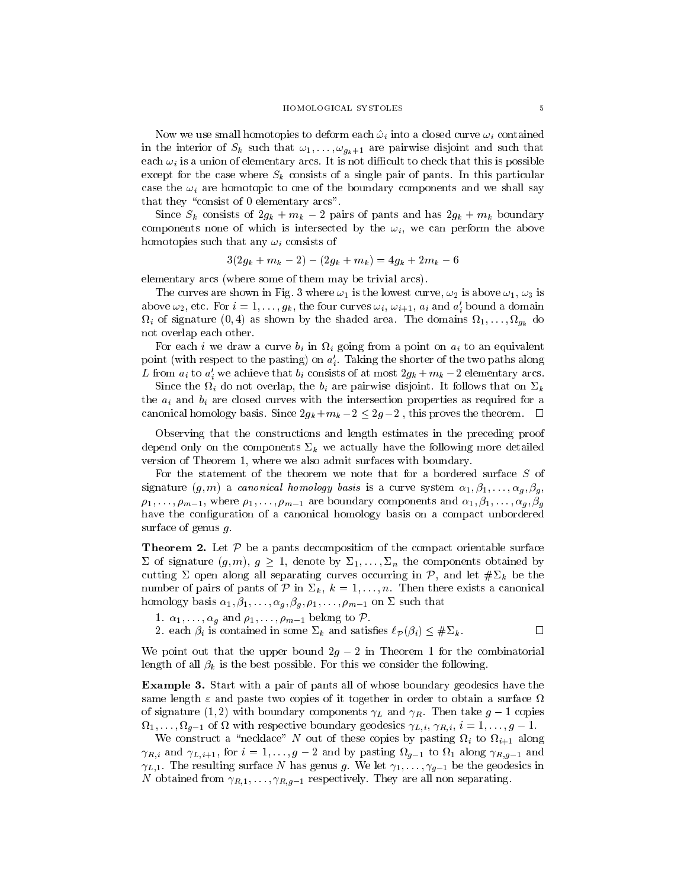Now we use small homotopies to deform the deformation  $\mu$  into a closed curve  $\mu$  is entitled as in the interior of Sk such that  $\cdots$   $\cdots$   $g_k+1$  are pairwise disjoint and such that  $\cdots$ each  $\mathbf{w}_i$  is a union of elementary  $\mathbf{w}_i$  are  $\mathbf{r}_i$  is not different to check that to possible except for the case where Sk consists of a single pair of pants. In this particular case the  $\mathbf{w}_i$  are homotopic to one of the boundary components and we shall say that they "consist of 0 elementary arcs".

 $S_{211}$  consisted of  $2g_k + m_k$   $\equiv$  pairs of pairs and has  $2g_k + m_k$  boundary components none of which is mechanologically the  $w_i$ , we can perform the above homotopies such that any  $\cdots$   $\cdots$  is any  $\cdots$  of  $\cdots$ 

$$
3(2g_k + m_k - 2) - (2g_k + m_k) = 4g_k + 2m_k - 6
$$

elementary arcs (where some of them may be trivial arcs).

The curves are shown in Fig. 3 where  $\omega_1$  is the lowest curve,  $\omega_2$  is above  $\omega_1$ ,  $\omega_3$  is above  $\omega_2$ , etc. For  $i = 1,\ldots,g_k$ , the four curves  $\omega_i$ ,  $\omega_{i+1}, u_i$  and  $a_i$  bound a domain ii of signature (1) as shown by the shaded area. The domains  $\alpha$  are dominated  $\alpha$ not overlap each other.

For each international curve binding  $\alpha$  and  $\alpha$  in an equivalent on  $\alpha$  is an equivalent. point (with respect to the pasting) on  $a_i$ . Taking the shorter of the two paths along L from  $a_i$  to  $a_j$  we achieve that  $b_i$  consists of at most  $\Delta g_k + m_k - \Delta$  elementary arcs.

 $\mathcal{S}_{\text{true}}$  is an interested that  $\mathcal{S}_{\text{true}}$  are pairwise and the follows that  $\mathcal{S}_{\text{true}}$ the ai and bi are closed curves with the intersection properties as required for <sup>a</sup> canonical homology basis. Since  $2g_k + m_k = 2$  ,  $2g_k - 2$  , this proves the theorem.  $\blacksquare$ 

Observing that the constructions and length estimates in the preceding proof depend only on the components k we actually have the following more detailed version of Theorem 1, where we also admit surfaces with boundary.

For the statement of the theorem we note that for a bordered surface <sup>S</sup> of signature  $(g, m)$  a canonical homology basis is a curve system  $\alpha_1, \beta_1, \ldots, \alpha_g, \beta_g$ ,  $\rho_1,\ldots,\rho_{m-1}$ , where  $\rho_1,\ldots,\rho_{m-1}$  are boundary components and  $\alpha_1,\beta_1,\ldots,\alpha_g,\beta_g$ have the configuration of a canonical homology basis on a compact unbordered surface of genus g.

Theorem 2. Let P be <sup>a</sup> pants decomposition of the compact orientable surface of signature (g;  $g$  ),  $g$   $\equiv$  1, denote by  $\equiv$  1;:::;  $\equiv$  1, denote by  $\equiv$  1, denote by  $\equiv$ cutting open along all separating curves occurring in P, and let  $\mu = \mu$  be the the theory  $\ldots$  of  $\alpha$  pairs of pairs of  $\alpha$  in  $\equiv$   $\alpha$   $\alpha$  ,  $\alpha$  ,  $\alpha$  ,  $\alpha$  ,  $\alpha$  ,  $\alpha$  ,  $\alpha$  ,  $\alpha$  ,  $\alpha$  ,  $\alpha$ homology basis  $\alpha_1, \beta_1, \ldots, \alpha_g, \beta_g, \rho_1, \ldots, \rho_{m-1}$  on  $\Sigma$  such that

- 1.  $\alpha_1,\ldots,\alpha_g$  and  $\rho_1,\ldots,\rho_{m-1}$  belong to  $\mathcal P$ .
- $\mathbb{R}^n$  enter  $\mathbb{R}^n$  is contained in some statistical intervals of  $\mathbb{R}^n$  (if  $\mathbb{R}^n$  )  $\mathbb{R}^n$  . The contained in the contained in the contact of  $\mathbb{R}^n$  . The contact of  $\mathbb{R}^n$  is a set of  $\mathbb{R$

We point that the upper upper bound 2g  $2$   $2$  in Theorem 1 for the components  $\sim$ length of all k is the best possible. For this we consider the following.

Example 3. Start with a pair of pants all of whose boundary geodesics have the same length  $\varepsilon$  and paste two copies of it together in order to obtain a surface  $\Omega$  $\alpha$  signature (1; 2) with boundary components  $\mu$  and  $\mu$  is non-called g  $\alpha$  bopies 1;:::; g1 of with respective boundary geodesics L;i , R;i , <sup>i</sup> = 1;:::;g 1.

We construct a \necklace" <sup>N</sup> out of these copies by pasting i to i+1 along  $R$  ,  $R$  and  $R$  and  $R$  and  $R$  and by pasting  $\mathbf{C} = \mathbf{1}$  and  $\mathbf{C} = \mathbf{1}$  and  $\mathbf{C} = \mathbf{1}$  and  $\mathbf{C} = \mathbf{1}$  $\gamma_{L,1}$ . The resulting surface N has genus g. We let  $\gamma_1,\ldots,\gamma_{g-1}$  be the geodesics in N obtained from R;1;:::;
R;g1 respectively. They are all non separating.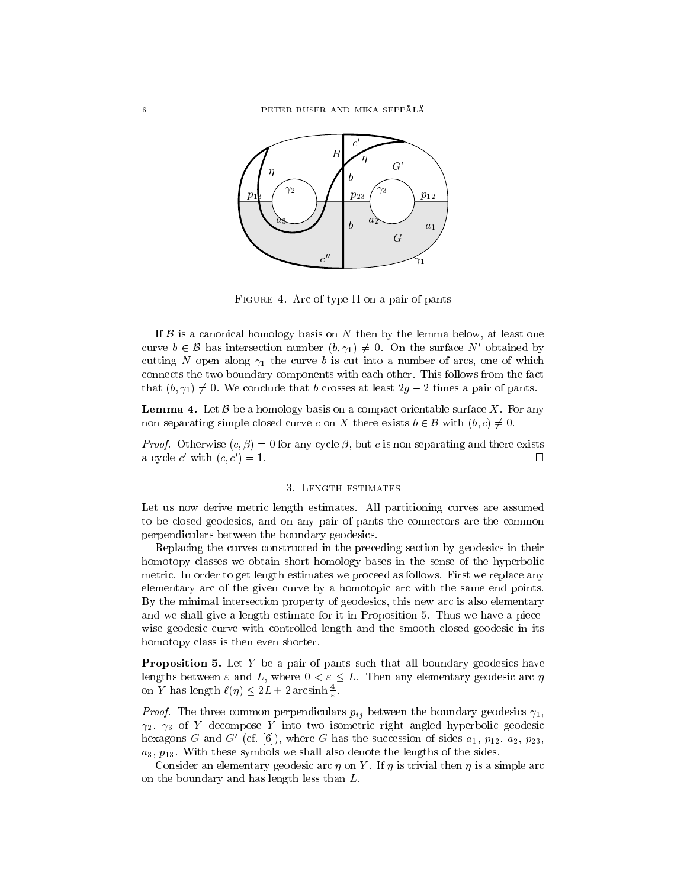

 $\blacksquare$  . The  $\blacksquare$  are on type II on a pair of pants  $\blacksquare$ 

If B is a canonical homology basis on  $\alpha$  the lemma below, and  $\alpha$  the lemma below, at least one one one one one one of  $\alpha$ curve  $b \in \mathcal{B}$  has intersection number  $(b, \gamma_1) \neq 0$ . On the surface N' obtained by curve  $v \in B$  has intersection number  $(v, \gamma_1) \neq v$ . On the surface *i* columned by cutting N open along  $\gamma_1$  the curve b is cut into a number of arcs, one of which connects the two boundary components with each other. This follows from the fact that  $(b, \gamma_1) \neq 0$ . We conclude that b crosses at least  $2g - 2$  times a pair of pants.

Lemma 4. Let  $B$  be a non-manipulation on a compact orientable surface  $\sim$  . For any non separating simple closed curve c on  $\lambda$  there exists  $\theta \in D$  with  $(\theta, \epsilon) \neq 0$ .

 $P_{\rm F}$  roof. Otherwise  $(c, p) = 0$  for any cycle  $p$ , but c is non separating and there exists a cycle c with  $(c, c) = 1$ .

### 3. LENGTH ESTIMATES

Let us now derive metric length estimates. All partitioning curves are assumed to be closed geodesics, and on any pair of pants the connectors are the common perpendiculars between the boundary geodesics.

Replacing the curves constructed in the preceding section by geodesics in their homotopy classes we obtain short homology bases in the sense of the hyperbolic metric. In order to get length estimates we proceed as follows. First we replace any elementary arc of the given curve by a homotopic arc with the same end points. By the minimal intersection property of geodesics, this new arc is also elementary and we shall give a length estimate for it in Proposition 5. Thus we have a piecewise geodesic curve with controlled length and the smooth closed geodesic in its homotopy class is then even shorter.

**Proposition 5.** Let  $Y$  be a pair of pants such that all boundary geodesics have lengths between  $\varepsilon$  and  $L$ , where  $0 \le \varepsilon \le L$ . Then any elementary geodesic arc  $\eta$ on Y has length  $\ell(\eta) \leq 2L + 2$  arcsinh  $\frac{2}{5}$ .

"

Proof. The three common perpendiculars pij between the boundary geodesics 1,  $\gamma_2$ ,  $\gamma_3$  of Y decompose Y into two isometric right angled hyperbolic geodesic hexagons G and G' (cf. [6]), where G has the succession of sides  $a_1, p_{12}, a_2, p_{23}$ ,  $a_3, p_{13}$ . With these symbols we shall also denote the lengths of the sides.

Consider an elementary geodesic arc  $\eta$  on Y. If  $\eta$  is trivial then  $\eta$  is a simple arc on the boundary and has length less than L.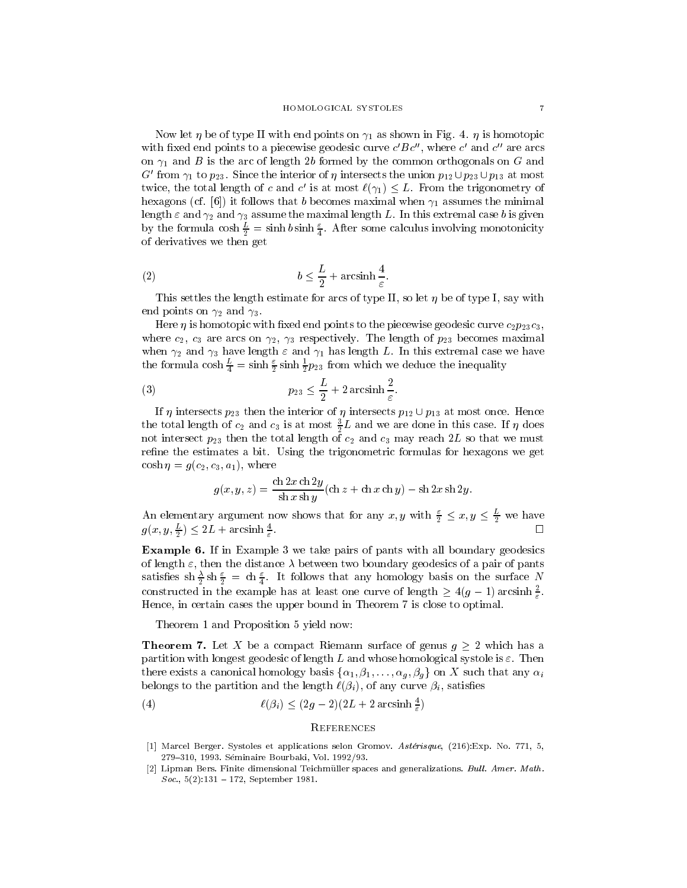Now let  $\eta$  be of type II with end points on  $\gamma_1$  as shown in Fig. 4.  $\eta$  is homotopic with fixed end points to a piecewise geodesic curve  $c$   $\overline{D}c$ , where  $c$  and  $c$  are arcs on  $\gamma_1$  and B is the arc of length 2b formed by the common orthogonals on G and G from  $\gamma_1$  to  $p_{23}$ . Since the interior of  $\eta$  intersects the union  $p_{12} \cup p_{23} \cup p_{13}$  at most twice, the total length of c and c as at most  $\ell(\gamma_1)\leq L$ . From the trigonometry of hexagons (cf. [6]) it follows that b becomes maximal when  $\gamma_1$  assumes the minimal length  $\varepsilon$  and  $\gamma_2$  and  $\gamma_3$  assume the maximal length L. In this extremal case b is given by the formula  $\cosh \frac{\pi}{2} = \sinh \theta \sinh \frac{\pi}{4}$ . After some calculus involving monotonicity of derivatives we then get

$$
(2) \t\t b \le \frac{L}{2} + \operatorname{arcsinh}\frac{4}{\varepsilon}.
$$

This settles the length estimate for arcs of type II, so let  $\eta$  be of type I, say with end points on  $\gamma_2$  and  $\gamma_3$ .

Here  $\eta$  is homotopic with fixed end points to the piecewise geodesic curve  $c_2p_{23}c_3$ , where  $c_2$ ,  $c_3$  are arcs on  $\gamma_2$ ,  $\gamma_3$  respectively. The length of  $p_{23}$  becomes maximal when  $\gamma_2$  and  $\gamma_3$  have length  $\varepsilon$  and  $\gamma_1$  has length L. In this extremal case we have the formula cosh  $\frac{2}{4} = \sinh \frac{2}{2} \sinh \frac{2}{2} p_{23}$  from which we deduce the inequality

(3) 
$$
p_{23} \leq \frac{L}{2} + 2 \arcsin \frac{2}{\varepsilon}.
$$

If  $\eta$  intersects  $p_{23}$  then the interior of  $\eta$  intersects  $p_{12} \cup p_{13}$  at most once. Hence the total length of  $c_2$  and  $c_3$  is at most  $\frac{1}{2}L$  and we are done in this case. If  $\eta$  does not intersect  $p_{23}$  then the total length of  $c_2$  and  $c_3$  may reach 2L so that we must refine the estimates a bit. Using the trigonometric formulas for hexagons we get  $\cosh \eta = g(c_2, c_3, a_1)$ , where

$$
g(x, y, z) = \frac{\operatorname{ch} 2x \operatorname{ch} 2y}{\operatorname{sh} x \operatorname{sh} y} (\operatorname{ch} z + \operatorname{ch} x \operatorname{ch} y) - \operatorname{sh} 2x \operatorname{sh} 2y.
$$

An elementary argument now shows that for any  $x, y$  with  $\frac{1}{2} \leq x, y \leq \frac{1}{2}$  we have П  $g(x, y, \frac{\pi}{2}) \leq 2L + \arcsin \frac{\pi}{\varepsilon}$ .

Example 6. If in Example 3 we take pairs of pants with all boundary geodesics of length  $\varepsilon$ , then the distance  $\lambda$  between two boundary geodesics of a pair of pants satisfies sn  $\frac{1}{2}$  sn  $\frac{1}{2}$  = cn  $\frac{1}{4}$ . It follows that any homology basis on the surface *I* constructed in the example has at least one curve of length  $\geq 4(g-1)$  arcsinh $\in$ . Hence, in certain cases the upper bound in Theorem 7 is close to optimal.

Theorem 1 and Proposition 5 yield now:

 $\blacksquare$ partition with longest geodesic of length L and whose homological systole is  $\varepsilon$ . Then there exists a canonical homology basis  $\{\alpha_1,\beta_1,\ldots,\alpha_q,\beta_q\}$  on X such that any  $\alpha_i$ belongs to the partition and the length indicated  $\{f_i\}_{i=1}$  , or any curve  $\{f_i\}_{i=1}$ 

(4) 
$$
\ell(\beta_i) \le (2g-2)(2L+2\arcsinh\frac{4}{\varepsilon})
$$

## **REFERENCES**

- [1] Marcel Berger. Systoles et applications selon Gromov. Asterisque, (216):Exp. No. 771, 5, 279-310, 1993. Séminaire Bourbaki, Vol. 1992/93.
- [2] Lipman Bers. Finite dimensional Teichmüller spaces and generalizations. Bull. Amer. Math. Soc.,  $5(2):131 - 172$ , September 1981.